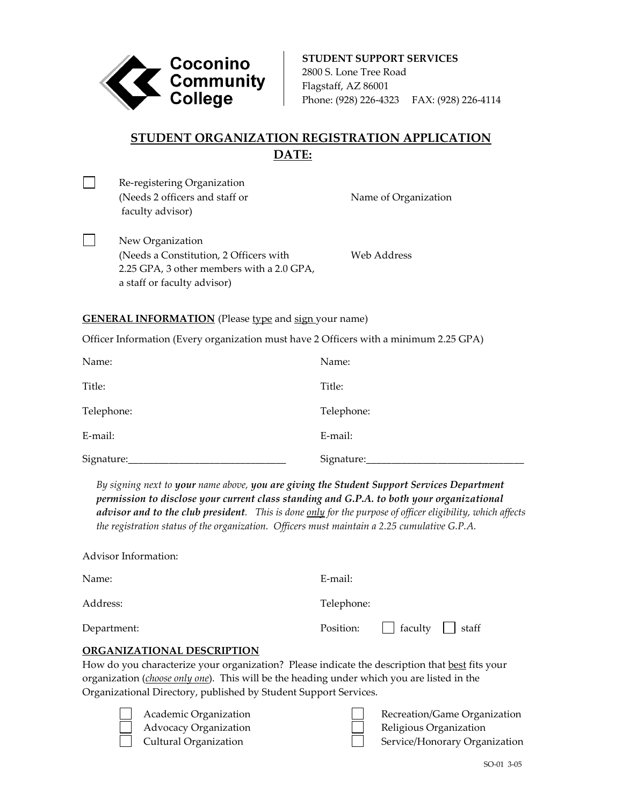

**STUDENT SUPPORT SERVICES** 2800 S. Lone Tree Road Flagstaff, AZ 86001 Phone: (928) 226-4323 FAX: (928) 226-4114

Name of Organization

# **STUDENT ORGANIZATION REGISTRATION APPLICATION DATE:**

| $\Box$ | Re-registering Organization    |  |
|--------|--------------------------------|--|
|        | (Needs 2 officers and staff or |  |
|        | faculty advisor)               |  |

 $\Box$ 

New Organization (Needs a Constitution, 2 Officers with Web Address 2.25 GPA, 3 other members with a 2.0 GPA, a staff or faculty advisor)

## **GENERAL INFORMATION** (Please type and sign your name)

Officer Information (Every organization must have 2 Officers with a minimum 2.25 GPA)

| Name:      | Name:      |
|------------|------------|
| Title:     | Title:     |
| Telephone: | Telephone: |
| E-mail:    | E-mail:    |
| Signature: | Signature: |

*By signing next to your name above, you are giving the Student Support Services Department permission to disclose your current class standing and G.P.A. to both your organizational advisor and to the club president. This is done only for the purpose of officer eligibility, which affects the registration status of the organization. Officers must maintain a 2.25 cumulative G.P.A.*

| Advisor Information:                                                                                |                               |  |  |  |
|-----------------------------------------------------------------------------------------------------|-------------------------------|--|--|--|
| Name:                                                                                               | $E$ -mail:                    |  |  |  |
| Address:                                                                                            | Telephone:                    |  |  |  |
| Department:                                                                                         | faculty<br>Position:<br>staff |  |  |  |
| ORGANIZATIONAL DESCRIPTION                                                                          |                               |  |  |  |
| How do you characterize your organization? Please indicate the description that best fits your      |                               |  |  |  |
| organization ( <i>choose only one</i> ). This will be the heading under which you are listed in the |                               |  |  |  |
| Organizational Directory, published by Student Support Services.                                    |                               |  |  |  |
| Academic Organization                                                                               | Recreation/Game Organization  |  |  |  |
| Advocacy Organization                                                                               | Religious Organization        |  |  |  |
| Cultural Organization                                                                               | Service/Honorary Organization |  |  |  |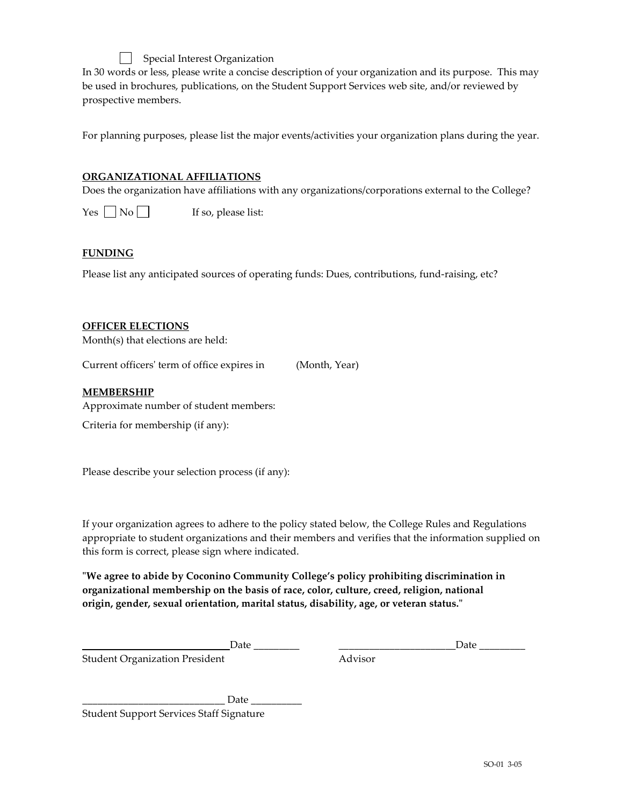Special Interest Organization In 30 words or less, please write a concise description of your organization and its purpose. This may be used in brochures, publications, on the Student Support Services web site, and/or reviewed by prospective members.

For planning purposes, please list the major events/activities your organization plans during the year.

## **ORGANIZATIONAL AFFILIATIONS**

Does the organization have affiliations with any organizations/corporations external to the College?

 $Yes \tNo \tIf so, please list:$ 

#### **FUNDING**

Please list any anticipated sources of operating funds: Dues, contributions, fund-raising, etc?

#### **OFFICER ELECTIONS**

Month(s) that elections are held:

Current officers' term of office expires in (Month, Year)

#### **MEMBERSHIP**

Approximate number of student members:

Criteria for membership (if any):

Please describe your selection process (if any):

If your organization agrees to adhere to the policy stated below, the College Rules and Regulations appropriate to student organizations and their members and verifies that the information supplied on this form is correct, please sign where indicated.

**"We agree to abide by Coconino Community College's policy prohibiting discrimination in organizational membership on the basis of race, color, culture, creed, religion, national origin, gender, sexual orientation, marital status, disability, age, or veteran status."**

Date \_\_\_\_\_\_\_\_\_ \_\_\_\_\_\_\_\_\_\_\_\_\_\_\_\_\_\_\_\_\_\_\_Date \_\_\_\_\_\_\_\_\_

Student Organization President **Advisor** Advisor

 $Date$   $\Box$ Student Support Services Staff Signature